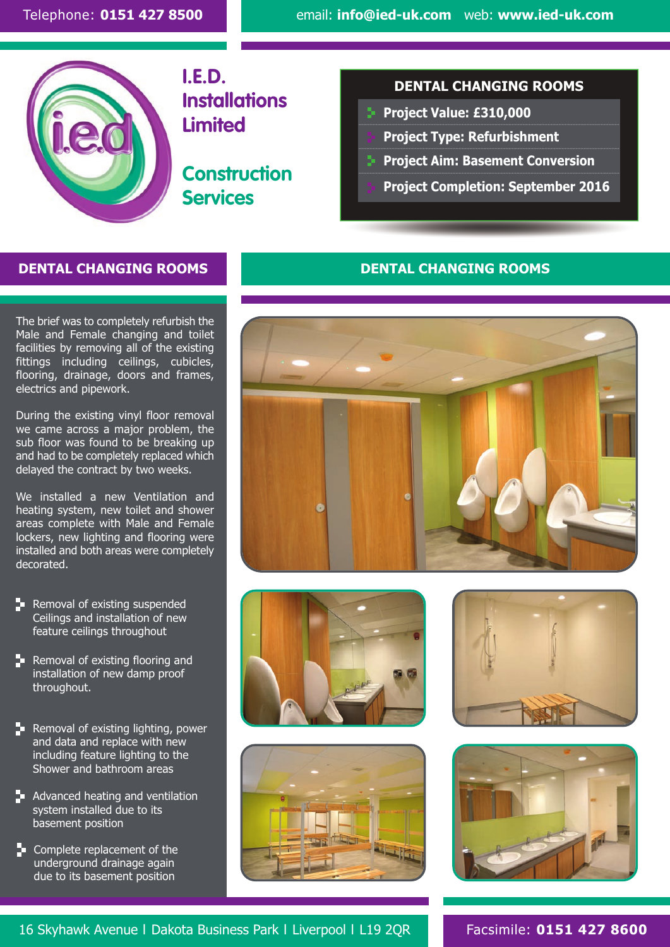

**I.E.D. Installations Limited**

**Construction Services**

### **DENTAL CHANGING ROOMS**

- ....................................................................................................................................................................... **Project Value: £310,000**
- ....................................................................................................................................................................... **Project Type: Refurbishment**
- ....................................................................................................................................................................... **Project Aim: Basement Conversion**
	- **Project Completion: September 2016**

## **DENTAL CHANGING ROOMS DENTAL CHANGING ROOMS**

The brief was to completely refurbish the Male and Female changing and toilet facilities by removing all of the existing fittings including ceilings, cubicles, flooring, drainage, doors and frames, electrics and pipework.

During the existing vinyl floor removal we came across a major problem, the sub floor was found to be breaking up and had to be completely replaced which delayed the contract by two weeks.

We installed a new Ventilation and heating system, new toilet and shower areas complete with Male and Female lockers, new lighting and flooring were installed and both areas were completely decorated.

- **Removal of existing suspended** Ceilings and installation of new feature ceilings throughout
- $\blacktriangleright$  Removal of existing flooring and installation of new damp proof throughout.
- $\blacktriangleright$  Removal of existing lighting, power and data and replace with new including feature lighting to the Shower and bathroom areas
- **A** Advanced heating and ventilation system installed due to its basement position
- **Complete replacement of the** underground drainage again due to its basement position











16 Skyhawk Avenue l Dakota Business Park l Liverpool l L19 2QR Facsimile: **0151 427 8600**